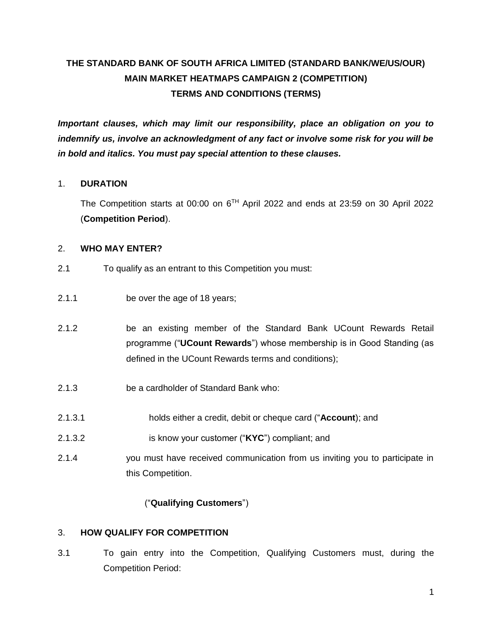# **THE STANDARD BANK OF SOUTH AFRICA LIMITED (STANDARD BANK/WE/US/OUR) MAIN MARKET HEATMAPS CAMPAIGN 2 (COMPETITION) TERMS AND CONDITIONS (TERMS)**

*Important clauses, which may limit our responsibility, place an obligation on you to indemnify us, involve an acknowledgment of any fact or involve some risk for you will be in bold and italics. You must pay special attention to these clauses.* 

## 1. **DURATION**

The Competition starts at 00:00 on  $6<sup>TH</sup>$  April 2022 and ends at 23:59 on 30 April 2022 (**Competition Period**).

#### 2. **WHO MAY ENTER?**

- 2.1 To qualify as an entrant to this Competition you must:
- 2.1.1 be over the age of 18 years;
- 2.1.2 be an existing member of the Standard Bank UCount Rewards Retail programme ("**UCount Rewards**") whose membership is in Good Standing (as defined in the UCount Rewards terms and conditions);
- 2.1.3 be a cardholder of Standard Bank who:
- 2.1.3.1 holds either a credit, debit or cheque card ("**Account**); and
- 2.1.3.2 is know your customer ("**KYC**") compliant; and
- 2.1.4 you must have received communication from us inviting you to participate in this Competition.

## ("**Qualifying Customers**")

## 3. **HOW QUALIFY FOR COMPETITION**

3.1 To gain entry into the Competition, Qualifying Customers must, during the Competition Period: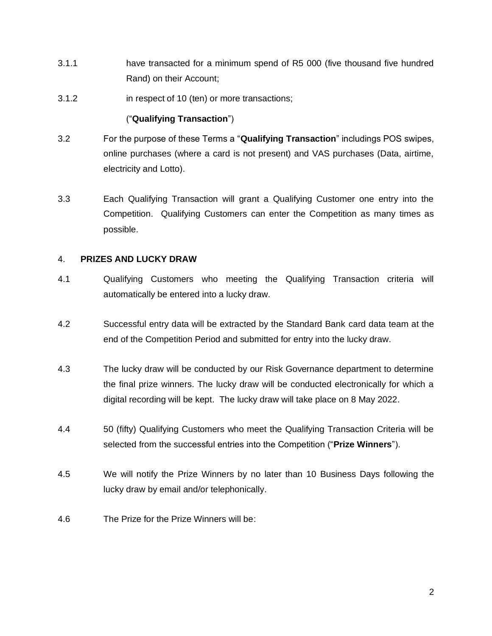- 3.1.1 have transacted for a minimum spend of R5 000 (five thousand five hundred Rand) on their Account;
- 3.1.2 in respect of 10 (ten) or more transactions;

#### ("**Qualifying Transaction**")

- 3.2 For the purpose of these Terms a "**Qualifying Transaction**" includings POS swipes, online purchases (where a card is not present) and VAS purchases (Data, airtime, electricity and Lotto).
- 3.3 Each Qualifying Transaction will grant a Qualifying Customer one entry into the Competition. Qualifying Customers can enter the Competition as many times as possible.

#### 4. **PRIZES AND LUCKY DRAW**

- 4.1 Qualifying Customers who meeting the Qualifying Transaction criteria will automatically be entered into a lucky draw.
- 4.2 Successful entry data will be extracted by the Standard Bank card data team at the end of the Competition Period and submitted for entry into the lucky draw.
- 4.3 The lucky draw will be conducted by our Risk Governance department to determine the final prize winners. The lucky draw will be conducted electronically for which a digital recording will be kept. The lucky draw will take place on 8 May 2022.
- 4.4 50 (fifty) Qualifying Customers who meet the Qualifying Transaction Criteria will be selected from the successful entries into the Competition ("**Prize Winners**").
- 4.5 We will notify the Prize Winners by no later than 10 Business Days following the lucky draw by email and/or telephonically.
- 4.6 The Prize for the Prize Winners will be: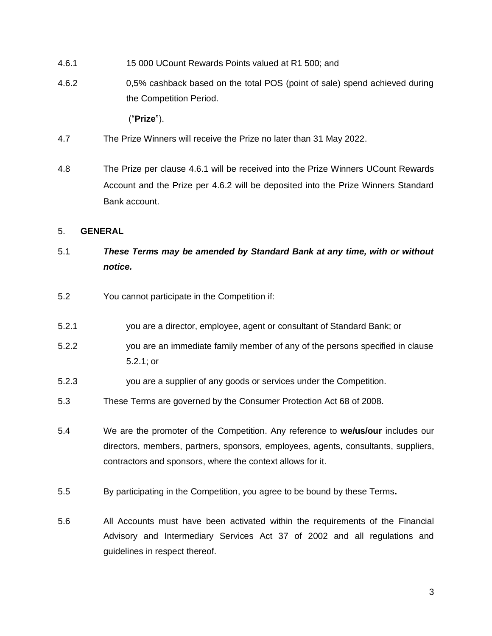- <span id="page-2-0"></span>4.6.1 15 000 UCount Rewards Points valued at R1 500; and
- <span id="page-2-1"></span>4.6.2 0,5% cashback based on the total POS (point of sale) spend achieved during the Competition Period.

("**Prize**").

- 4.7 The Prize Winners will receive the Prize no later than 31 May 2022.
- 4.8 The Prize per clause [4.6.1](#page-2-0) will be received into the Prize Winners UCount Rewards Account and the Prize per [4.6.2](#page-2-1) will be deposited into the Prize Winners Standard Bank account.

#### 5. **GENERAL**

## 5.1 *These Terms may be amended by Standard Bank at any time, with or without notice.*

- 5.2 You cannot participate in the Competition if:
- 5.2.1 you are a director, employee, agent or consultant of Standard Bank; or
- 5.2.2 you are an immediate family member of any of the persons specified in clause 5.2.1; or
- 5.2.3 you are a supplier of any goods or services under the Competition.
- 5.3 These Terms are governed by the Consumer Protection Act 68 of 2008.
- 5.4 We are the promoter of the Competition. Any reference to **we/us/our** includes our directors, members, partners, sponsors, employees, agents, consultants, suppliers, contractors and sponsors, where the context allows for it.
- 5.5 By participating in the Competition, you agree to be bound by these Terms**.**
- 5.6 All Accounts must have been activated within the requirements of the Financial Advisory and Intermediary Services Act 37 of 2002 and all regulations and guidelines in respect thereof.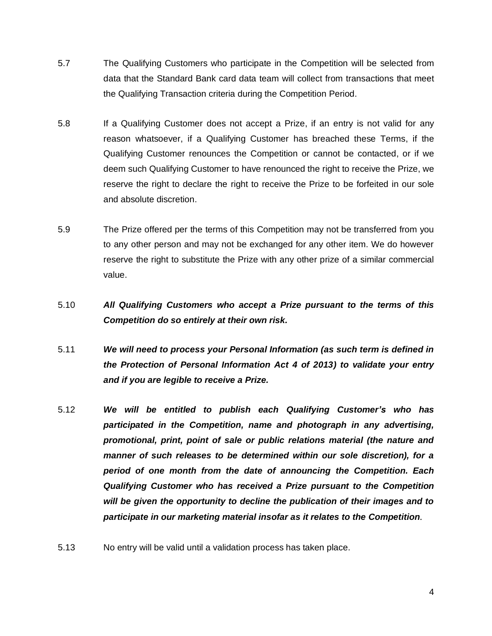- 5.7 The Qualifying Customers who participate in the Competition will be selected from data that the Standard Bank card data team will collect from transactions that meet the Qualifying Transaction criteria during the Competition Period.
- 5.8 If a Qualifying Customer does not accept a Prize, if an entry is not valid for any reason whatsoever, if a Qualifying Customer has breached these Terms, if the Qualifying Customer renounces the Competition or cannot be contacted, or if we deem such Qualifying Customer to have renounced the right to receive the Prize, we reserve the right to declare the right to receive the Prize to be forfeited in our sole and absolute discretion.
- 5.9 The Prize offered per the terms of this Competition may not be transferred from you to any other person and may not be exchanged for any other item. We do however reserve the right to substitute the Prize with any other prize of a similar commercial value.
- 5.10 *All Qualifying Customers who accept a Prize pursuant to the terms of this Competition do so entirely at their own risk.*
- 5.11 *We will need to process your Personal Information (as such term is defined in the Protection of Personal Information Act 4 of 2013) to validate your entry and if you are legible to receive a Prize.*
- 5.12 *We will be entitled to publish each Qualifying Customer's who has participated in the Competition, name and photograph in any advertising, promotional, print, point of sale or public relations material (the nature and manner of such releases to be determined within our sole discretion), for a period of one month from the date of announcing the Competition. Each Qualifying Customer who has received a Prize pursuant to the Competition will be given the opportunity to decline the publication of their images and to participate in our marketing material insofar as it relates to the Competition.*
- 5.13 No entry will be valid until a validation process has taken place.